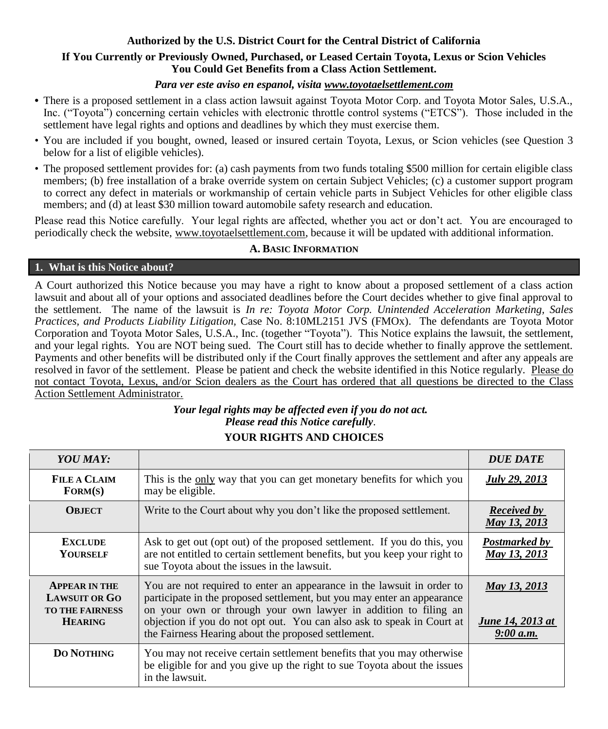# **Authorized by the U.S. District Court for the Central District of California**

### **If You Currently or Previously Owned, Purchased, or Leased Certain Toyota, Lexus or Scion Vehicles You Could Get Benefits from a Class Action Settlement.**

## *Para ver este aviso en espanol, visita www.toyotaelsettlement.com*

- **•** There is a proposed settlement in a class action lawsuit against Toyota Motor Corp. and Toyota Motor Sales, U.S.A., Inc. ("Toyota") concerning certain vehicles with electronic throttle control systems ("ETCS"). Those included in the settlement have legal rights and options and deadlines by which they must exercise them.
- You are included if you bought, owned, leased or insured certain Toyota, Lexus, or Scion vehicles (see Question 3 below for a list of eligible vehicles).
- The proposed settlement provides for: (a) cash payments from two funds totaling \$500 million for certain eligible class members; (b) free installation of a brake override system on certain Subject Vehicles; (c) a customer support program to correct any defect in materials or workmanship of certain vehicle parts in Subject Vehicles for other eligible class members; and (d) at least \$30 million toward automobile safety research and education.

Please read this Notice carefully. Your legal rights are affected, whether you act or don't act. You are encouraged to periodically check the website, www.toyotaelsettlement.com, because it will be updated with additional information.

# **A. BASIC INFORMATION**

#### **1. What is this Notice about?**

A Court authorized this Notice because you may have a right to know about a proposed settlement of a class action lawsuit and about all of your options and associated deadlines before the Court decides whether to give final approval to the settlement. The name of the lawsuit is *In re: Toyota Motor Corp. Unintended Acceleration Marketing, Sales Practices, and Products Liability Litigation,* Case No. 8:10ML2151 JVS (FMOx). The defendants are Toyota Motor Corporation and Toyota Motor Sales, U.S.A., Inc. (together "Toyota"). This Notice explains the lawsuit, the settlement, and your legal rights. You are NOT being sued. The Court still has to decide whether to finally approve the settlement. Payments and other benefits will be distributed only if the Court finally approves the settlement and after any appeals are resolved in favor of the settlement. Please be patient and check the website identified in this Notice regularly. Please do not contact Toyota, Lexus, and/or Scion dealers as the Court has ordered that all questions be directed to the Class Action Settlement Administrator.

# *Your legal rights may be affected even if you do not act. Please read this Notice carefully.*

# **YOUR RIGHTS AND CHOICES**

| YOU MAY:                                                                                 |                                                                                                                                                                                                                                                                                                                                                       | <b>DUE DATE</b>                               |
|------------------------------------------------------------------------------------------|-------------------------------------------------------------------------------------------------------------------------------------------------------------------------------------------------------------------------------------------------------------------------------------------------------------------------------------------------------|-----------------------------------------------|
| <b>FILE A CLAIM</b><br>FORM(S)                                                           | This is the only way that you can get monetary benefits for which you<br>may be eligible.                                                                                                                                                                                                                                                             | <b>July 29, 2013</b>                          |
| <b>OBJECT</b>                                                                            | Write to the Court about why you don't like the proposed settlement.                                                                                                                                                                                                                                                                                  | <b>Received by</b><br>May 13, 2013            |
| <b>EXCLUDE</b><br><b>YOURSELF</b>                                                        | Ask to get out (opt out) of the proposed settlement. If you do this, you<br>are not entitled to certain settlement benefits, but you keep your right to<br>sue Toyota about the issues in the lawsuit.                                                                                                                                                | Postmarked by<br>May 13, 2013                 |
| <b>APPEAR IN THE</b><br><b>LAWSUIT OR GO</b><br><b>TO THE FAIRNESS</b><br><b>HEARING</b> | You are not required to enter an appearance in the lawsuit in order to<br>participate in the proposed settlement, but you may enter an appearance<br>on your own or through your own lawyer in addition to filing an<br>objection if you do not opt out. You can also ask to speak in Court at<br>the Fairness Hearing about the proposed settlement. | May 13, 2013<br>June 14, 2013 at<br>9:00 a.m. |
| <b>DO NOTHING</b>                                                                        | You may not receive certain settlement benefits that you may otherwise<br>be eligible for and you give up the right to sue Toyota about the issues<br>in the lawsuit.                                                                                                                                                                                 |                                               |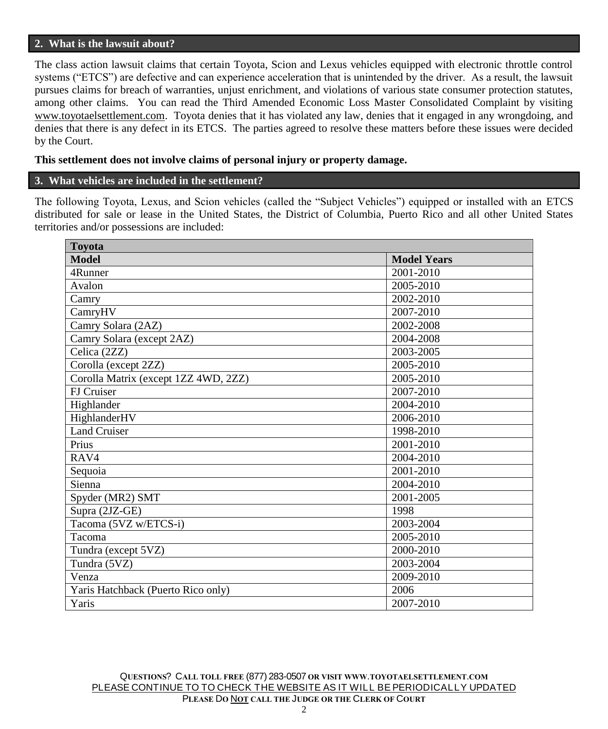#### **2. What is the lawsuit about?**

The class action lawsuit claims that certain Toyota, Scion and Lexus vehicles equipped with electronic throttle control systems ("ETCS") are defective and can experience acceleration that is unintended by the driver. As a result, the lawsuit pursues claims for breach of warranties, unjust enrichment, and violations of various state consumer protection statutes, among other claims. You can read the Third Amended Economic Loss Master Consolidated Complaint by visiting www.toyotaelsettlement.com. Toyota denies that it has violated any law, denies that it engaged in any wrongdoing, and denies that there is any defect in its ETCS. The parties agreed to resolve these matters before these issues were decided by the Court.

#### **This settlement does not involve claims of personal injury or property damage.**

#### **3. What vehicles are included in the settlement?**

The following Toyota, Lexus, and Scion vehicles (called the "Subject Vehicles") equipped or installed with an ETCS distributed for sale or lease in the United States, the District of Columbia, Puerto Rico and all other United States territories and/or possessions are included:

| <b>Toyota</b>                        |                    |  |  |
|--------------------------------------|--------------------|--|--|
| <b>Model</b>                         | <b>Model Years</b> |  |  |
| 4Runner                              | 2001-2010          |  |  |
| Avalon                               | 2005-2010          |  |  |
| Camry                                | 2002-2010          |  |  |
| CamryHV                              | 2007-2010          |  |  |
| Camry Solara (2AZ)                   | 2002-2008          |  |  |
| Camry Solara (except 2AZ)            | 2004-2008          |  |  |
| Celica (2ZZ)                         | 2003-2005          |  |  |
| Corolla (except 2ZZ)                 | 2005-2010          |  |  |
| Corolla Matrix (except 1ZZ 4WD, 2ZZ) | 2005-2010          |  |  |
| FJ Cruiser                           | 2007-2010          |  |  |
| Highlander                           | 2004-2010          |  |  |
| HighlanderHV                         | 2006-2010          |  |  |
| <b>Land Cruiser</b>                  | 1998-2010          |  |  |
| Prius                                | 2001-2010          |  |  |
| RAV4                                 | 2004-2010          |  |  |
| Sequoia                              | 2001-2010          |  |  |
| Sienna                               | 2004-2010          |  |  |
| Spyder (MR2) SMT                     | 2001-2005          |  |  |
| Supra (2JZ-GE)                       | 1998               |  |  |
| Tacoma (5VZ w/ETCS-i)                | 2003-2004          |  |  |
| Tacoma                               | 2005-2010          |  |  |
| Tundra (except 5VZ)                  | 2000-2010          |  |  |
| Tundra (5VZ)                         | 2003-2004          |  |  |
| Venza                                | 2009-2010          |  |  |
| Yaris Hatchback (Puerto Rico only)   | 2006               |  |  |
| Yaris                                | 2007-2010          |  |  |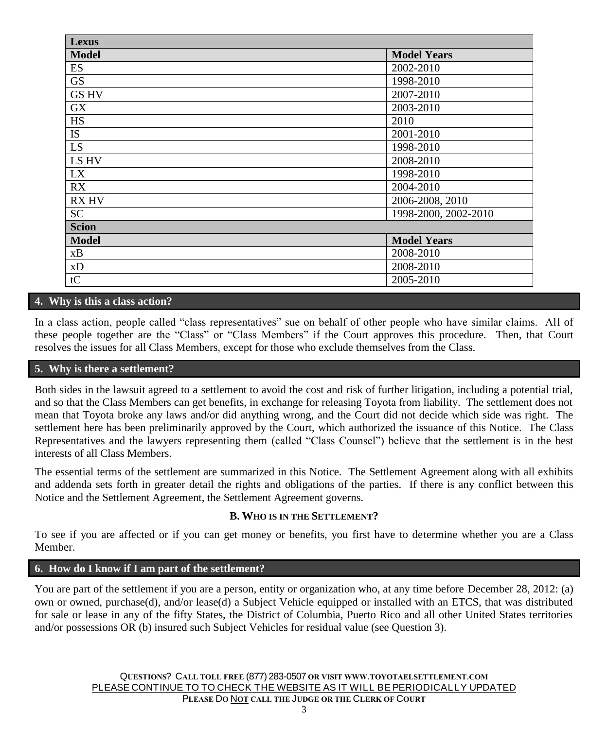| Lexus        |                      |
|--------------|----------------------|
| <b>Model</b> | <b>Model Years</b>   |
| ES           | 2002-2010            |
| <b>GS</b>    | 1998-2010            |
| <b>GS HV</b> | 2007-2010            |
| <b>GX</b>    | 2003-2010            |
| HS           | 2010                 |
| IS           | 2001-2010            |
| LS           | 1998-2010            |
| LS HV        | 2008-2010            |
| LX           | 1998-2010            |
| RX           | 2004-2010            |
| <b>RX HV</b> | 2006-2008, 2010      |
| <b>SC</b>    | 1998-2000, 2002-2010 |
| <b>Scion</b> |                      |
| <b>Model</b> | <b>Model Years</b>   |
| xB           | 2008-2010            |
| xD           | 2008-2010            |
| tC           | 2005-2010            |

## **4. Why is this a class action?**

In a class action, people called "class representatives" sue on behalf of other people who have similar claims. All of these people together are the "Class" or "Class Members" if the Court approves this procedure. Then, that Court resolves the issues for all Class Members, except for those who exclude themselves from the Class.

#### **5. Why is there a settlement?**

Both sides in the lawsuit agreed to a settlement to avoid the cost and risk of further litigation, including a potential trial, and so that the Class Members can get benefits, in exchange for releasing Toyota from liability. The settlement does not mean that Toyota broke any laws and/or did anything wrong, and the Court did not decide which side was right. The settlement here has been preliminarily approved by the Court, which authorized the issuance of this Notice. The Class Representatives and the lawyers representing them (called "Class Counsel") believe that the settlement is in the best interests of all Class Members.

The essential terms of the settlement are summarized in this Notice. The Settlement Agreement along with all exhibits and addenda sets forth in greater detail the rights and obligations of the parties. If there is any conflict between this Notice and the Settlement Agreement, the Settlement Agreement governs.

#### **B. WHO IS IN THE SETTLEMENT?**

To see if you are affected or if you can get money or benefits, you first have to determine whether you are a Class Member.

#### **6. How do I know if I am part of the settlement?**

You are part of the settlement if you are a person, entity or organization who, at any time before December 28, 2012: (a) own or owned, purchase(d), and/or lease(d) a Subject Vehicle equipped or installed with an ETCS, that was distributed for sale or lease in any of the fifty States, the District of Columbia, Puerto Rico and all other United States territories and/or possessions OR (b) insured such Subject Vehicles for residual value (see Question 3).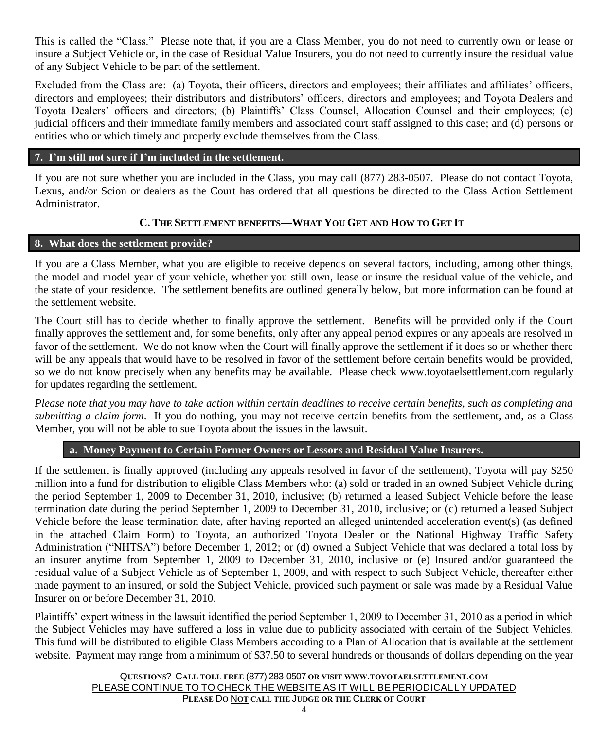This is called the "Class." Please note that, if you are a Class Member, you do not need to currently own or lease or insure a Subject Vehicle or, in the case of Residual Value Insurers, you do not need to currently insure the residual value of any Subject Vehicle to be part of the settlement.

Excluded from the Class are: (a) Toyota, their officers, directors and employees; their affiliates and affiliates' officers, directors and employees; their distributors and distributors' officers, directors and employees; and Toyota Dealers and Toyota Dealers' officers and directors; (b) Plaintiffs' Class Counsel, Allocation Counsel and their employees; (c) judicial officers and their immediate family members and associated court staff assigned to this case; and (d) persons or entities who or which timely and properly exclude themselves from the Class.

#### **7. I'm still not sure if I'm included in the settlement.**

If you are not sure whether you are included in the Class, you may call (877) 283-0507. Please do not contact Toyota, Lexus, and/or Scion or dealers as the Court has ordered that all questions be directed to the Class Action Settlement Administrator.

# **C. THE SETTLEMENT BENEFITS—WHAT YOU GET AND HOW TO GET IT**

### **8. What does the settlement provide?**

If you are a Class Member, what you are eligible to receive depends on several factors, including, among other things, the model and model year of your vehicle, whether you still own, lease or insure the residual value of the vehicle, and the state of your residence. The settlement benefits are outlined generally below, but more information can be found at the settlement website.

The Court still has to decide whether to finally approve the settlement. Benefits will be provided only if the Court finally approves the settlement and, for some benefits, only after any appeal period expires or any appeals are resolved in favor of the settlement. We do not know when the Court will finally approve the settlement if it does so or whether there will be any appeals that would have to be resolved in favor of the settlement before certain benefits would be provided, so we do not know precisely when any benefits may be available. Please check www.toyotaelsettlement.com regularly for updates regarding the settlement.

*Please note that you may have to take action within certain deadlines to receive certain benefits, such as completing and submitting a claim form*. If you do nothing, you may not receive certain benefits from the settlement, and, as a Class Member, you will not be able to sue Toyota about the issues in the lawsuit.

## **a. Money Payment to Certain Former Owners or Lessors and Residual Value Insurers.**

If the settlement is finally approved (including any appeals resolved in favor of the settlement), Toyota will pay \$250 million into a fund for distribution to eligible Class Members who: (a) sold or traded in an owned Subject Vehicle during the period September 1, 2009 to December 31, 2010, inclusive; (b) returned a leased Subject Vehicle before the lease termination date during the period September 1, 2009 to December 31, 2010, inclusive; or (c) returned a leased Subject Vehicle before the lease termination date, after having reported an alleged unintended acceleration event(s) (as defined in the attached Claim Form) to Toyota, an authorized Toyota Dealer or the National Highway Traffic Safety Administration ("NHTSA") before December 1, 2012; or (d) owned a Subject Vehicle that was declared a total loss by an insurer anytime from September 1, 2009 to December 31, 2010, inclusive or (e) Insured and/or guaranteed the residual value of a Subject Vehicle as of September 1, 2009, and with respect to such Subject Vehicle, thereafter either made payment to an insured, or sold the Subject Vehicle, provided such payment or sale was made by a Residual Value Insurer on or before December 31, 2010.

Plaintiffs' expert witness in the lawsuit identified the period September 1, 2009 to December 31, 2010 as a period in which the Subject Vehicles may have suffered a loss in value due to publicity associated with certain of the Subject Vehicles. This fund will be distributed to eligible Class Members according to a Plan of Allocation that is available at the settlement website. Payment may range from a minimum of \$37.50 to several hundreds or thousands of dollars depending on the year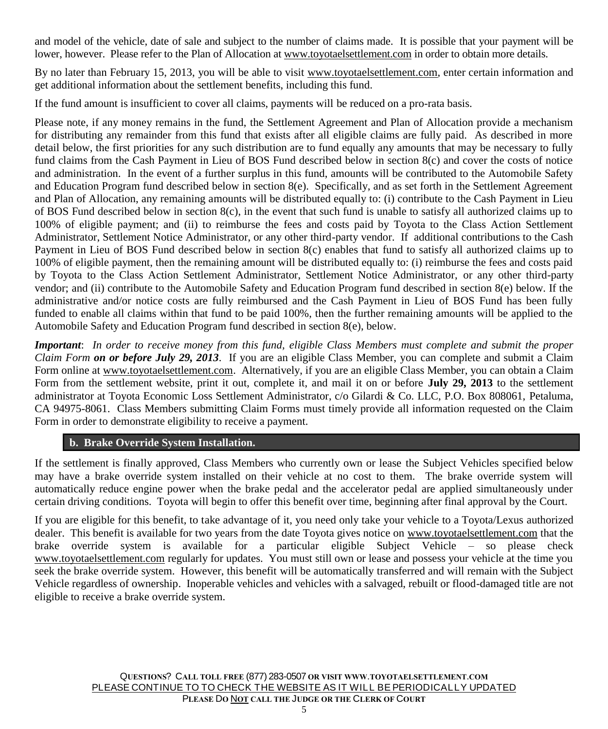and model of the vehicle, date of sale and subject to the number of claims made. It is possible that your payment will be lower, however. Please refer to the Plan of Allocation at www.toyotaelsettlement.com in order to obtain more details.

By no later than February 15, 2013, you will be able to visit www.toyotaelsettlement.com, enter certain information and get additional information about the settlement benefits, including this fund.

If the fund amount is insufficient to cover all claims, payments will be reduced on a pro-rata basis.

Please note, if any money remains in the fund, the Settlement Agreement and Plan of Allocation provide a mechanism for distributing any remainder from this fund that exists after all eligible claims are fully paid. As described in more detail below, the first priorities for any such distribution are to fund equally any amounts that may be necessary to fully fund claims from the Cash Payment in Lieu of BOS Fund described below in section 8(c) and cover the costs of notice and administration. In the event of a further surplus in this fund, amounts will be contributed to the Automobile Safety and Education Program fund described below in section 8(e). Specifically, and as set forth in the Settlement Agreement and Plan of Allocation, any remaining amounts will be distributed equally to: (i) contribute to the Cash Payment in Lieu of BOS Fund described below in section  $8(c)$ , in the event that such fund is unable to satisfy all authorized claims up to 100% of eligible payment; and (ii) to reimburse the fees and costs paid by Toyota to the Class Action Settlement Administrator, Settlement Notice Administrator, or any other third-party vendor. If additional contributions to the Cash Payment in Lieu of BOS Fund described below in section 8(c) enables that fund to satisfy all authorized claims up to 100% of eligible payment, then the remaining amount will be distributed equally to: (i) reimburse the fees and costs paid by Toyota to the Class Action Settlement Administrator, Settlement Notice Administrator, or any other third-party vendor; and (ii) contribute to the Automobile Safety and Education Program fund described in section 8(e) below. If the administrative and/or notice costs are fully reimbursed and the Cash Payment in Lieu of BOS Fund has been fully funded to enable all claims within that fund to be paid 100%, then the further remaining amounts will be applied to the Automobile Safety and Education Program fund described in section 8(e), below.

*Important*: *In order to receive money from this fund, eligible Class Members must complete and submit the proper Claim Form on or before July 29, 2013*. If you are an eligible Class Member, you can complete and submit a Claim Form online at www.toyotaelsettlement.com. Alternatively, if you are an eligible Class Member, you can obtain a Claim Form from the settlement website, print it out, complete it, and mail it on or before **July 29, 2013** to the settlement administrator at Toyota Economic Loss Settlement Administrator, c/o Gilardi & Co. LLC, P.O. Box 808061, Petaluma, CA 94975-8061. Class Members submitting Claim Forms must timely provide all information requested on the Claim Form in order to demonstrate eligibility to receive a payment.

# **b. Brake Override System Installation.**

If the settlement is finally approved, Class Members who currently own or lease the Subject Vehicles specified below may have a brake override system installed on their vehicle at no cost to them. The brake override system will automatically reduce engine power when the brake pedal and the accelerator pedal are applied simultaneously under certain driving conditions. Toyota will begin to offer this benefit over time, beginning after final approval by the Court.

If you are eligible for this benefit, to take advantage of it, you need only take your vehicle to a Toyota/Lexus authorized dealer. This benefit is available for two years from the date Toyota gives notice on www.toyotaelsettlement.com that the brake override system is available for a particular eligible Subject Vehicle – so please check www.toyotaelsettlement.com regularly for updates. You must still own or lease and possess your vehicle at the time you seek the brake override system. However, this benefit will be automatically transferred and will remain with the Subject Vehicle regardless of ownership. Inoperable vehicles and vehicles with a salvaged, rebuilt or flood-damaged title are not eligible to receive a brake override system.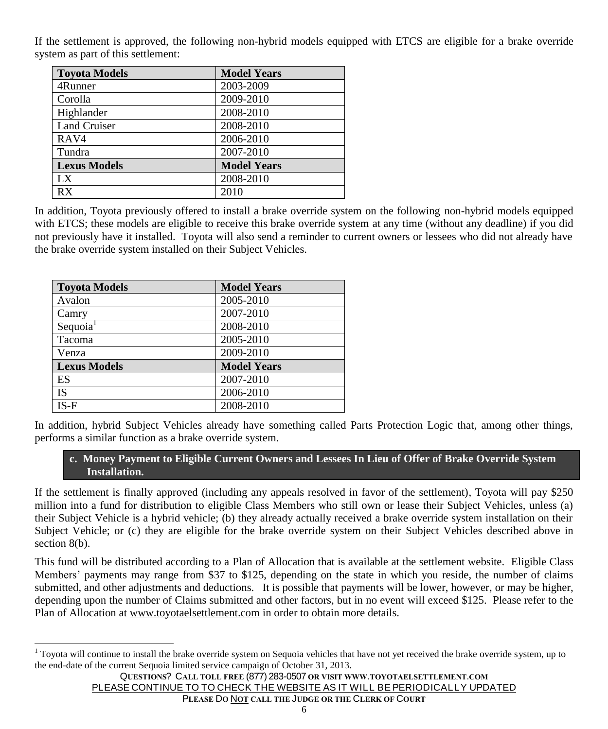If the settlement is approved, the following non-hybrid models equipped with ETCS are eligible for a brake override system as part of this settlement:

| <b>Toyota Models</b> | <b>Model Years</b> |  |
|----------------------|--------------------|--|
| 4Runner              | 2003-2009          |  |
| Corolla              | 2009-2010          |  |
| Highlander           | 2008-2010          |  |
| <b>Land Cruiser</b>  | 2008-2010          |  |
| RAV4                 | 2006-2010          |  |
| Tundra               | 2007-2010          |  |
| <b>Lexus Models</b>  | <b>Model Years</b> |  |
| LX                   | 2008-2010          |  |
| RX                   | 2010               |  |

In addition, Toyota previously offered to install a brake override system on the following non-hybrid models equipped with ETCS; these models are eligible to receive this brake override system at any time (without any deadline) if you did not previously have it installed. Toyota will also send a reminder to current owners or lessees who did not already have the brake override system installed on their Subject Vehicles.

| <b>Toyota Models</b> | <b>Model Years</b> |  |
|----------------------|--------------------|--|
| Avalon               | 2005-2010          |  |
| Camry                | 2007-2010          |  |
| Sequoia <sup>1</sup> | 2008-2010          |  |
| Tacoma               | 2005-2010          |  |
| Venza                | 2009-2010          |  |
| <b>Lexus Models</b>  | <b>Model Years</b> |  |
| ES                   | 2007-2010          |  |
| <b>IS</b>            | 2006-2010          |  |
| $IS-F$               | 2008-2010          |  |

 $\overline{a}$ 

In addition, hybrid Subject Vehicles already have something called Parts Protection Logic that, among other things, performs a similar function as a brake override system.

# **c. Money Payment to Eligible Current Owners and Lessees In Lieu of Offer of Brake Override System Installation.**

If the settlement is finally approved (including any appeals resolved in favor of the settlement), Toyota will pay \$250 million into a fund for distribution to eligible Class Members who still own or lease their Subject Vehicles, unless (a) their Subject Vehicle is a hybrid vehicle; (b) they already actually received a brake override system installation on their Subject Vehicle; or (c) they are eligible for the brake override system on their Subject Vehicles described above in section 8(b).

This fund will be distributed according to a Plan of Allocation that is available at the settlement website. Eligible Class Members' payments may range from \$37 to \$125, depending on the state in which you reside, the number of claims submitted, and other adjustments and deductions. It is possible that payments will be lower, however, or may be higher, depending upon the number of Claims submitted and other factors, but in no event will exceed \$125. Please refer to the Plan of Allocation at www.toyotaelsettlement.com in order to obtain more details.

<sup>&</sup>lt;sup>1</sup> Toyota will continue to install the brake override system on Sequoia vehicles that have not yet received the brake override system, up to the end-date of the current Sequoia limited service campaign of October 31, 2013.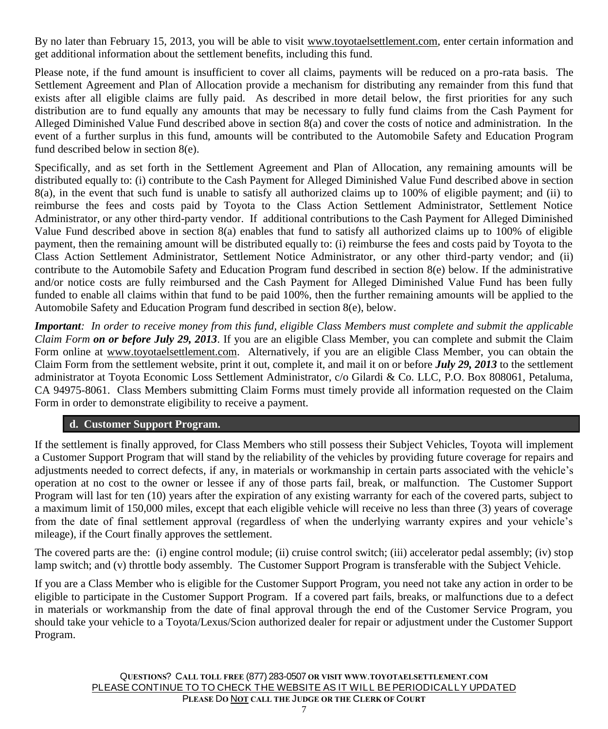By no later than February 15, 2013, you will be able to visit www.toyotaelsettlement.com, enter certain information and get additional information about the settlement benefits, including this fund.

Please note, if the fund amount is insufficient to cover all claims, payments will be reduced on a pro-rata basis. The Settlement Agreement and Plan of Allocation provide a mechanism for distributing any remainder from this fund that exists after all eligible claims are fully paid. As described in more detail below, the first priorities for any such distribution are to fund equally any amounts that may be necessary to fully fund claims from the Cash Payment for Alleged Diminished Value Fund described above in section 8(a) and cover the costs of notice and administration. In the event of a further surplus in this fund, amounts will be contributed to the Automobile Safety and Education Program fund described below in section 8(e).

Specifically, and as set forth in the Settlement Agreement and Plan of Allocation, any remaining amounts will be distributed equally to: (i) contribute to the Cash Payment for Alleged Diminished Value Fund described above in section 8(a), in the event that such fund is unable to satisfy all authorized claims up to 100% of eligible payment; and (ii) to reimburse the fees and costs paid by Toyota to the Class Action Settlement Administrator, Settlement Notice Administrator, or any other third-party vendor. If additional contributions to the Cash Payment for Alleged Diminished Value Fund described above in section 8(a) enables that fund to satisfy all authorized claims up to 100% of eligible payment, then the remaining amount will be distributed equally to: (i) reimburse the fees and costs paid by Toyota to the Class Action Settlement Administrator, Settlement Notice Administrator, or any other third-party vendor; and (ii) contribute to the Automobile Safety and Education Program fund described in section 8(e) below. If the administrative and/or notice costs are fully reimbursed and the Cash Payment for Alleged Diminished Value Fund has been fully funded to enable all claims within that fund to be paid 100%, then the further remaining amounts will be applied to the Automobile Safety and Education Program fund described in section 8(e), below.

*Important: In order to receive money from this fund, eligible Class Members must complete and submit the applicable Claim Form on or before July 29, 2013*. If you are an eligible Class Member, you can complete and submit the Claim Form online at www.toyotaelsettlement.com. Alternatively, if you are an eligible Class Member, you can obtain the Claim Form from the settlement website, print it out, complete it, and mail it on or before *July 29, 2013* to the settlement administrator at Toyota Economic Loss Settlement Administrator, c/o Gilardi & Co. LLC, P.O. Box 808061, Petaluma, CA 94975-8061. Class Members submitting Claim Forms must timely provide all information requested on the Claim Form in order to demonstrate eligibility to receive a payment.

### **d. Customer Support Program.**

If the settlement is finally approved, for Class Members who still possess their Subject Vehicles, Toyota will implement a Customer Support Program that will stand by the reliability of the vehicles by providing future coverage for repairs and adjustments needed to correct defects, if any, in materials or workmanship in certain parts associated with the vehicle's operation at no cost to the owner or lessee if any of those parts fail, break, or malfunction. The Customer Support Program will last for ten (10) years after the expiration of any existing warranty for each of the covered parts, subject to a maximum limit of 150,000 miles, except that each eligible vehicle will receive no less than three (3) years of coverage from the date of final settlement approval (regardless of when the underlying warranty expires and your vehicle's mileage), if the Court finally approves the settlement.

The covered parts are the: (i) engine control module; (ii) cruise control switch; (iii) accelerator pedal assembly; (iv) stop lamp switch; and (v) throttle body assembly. The Customer Support Program is transferable with the Subject Vehicle.

If you are a Class Member who is eligible for the Customer Support Program, you need not take any action in order to be eligible to participate in the Customer Support Program. If a covered part fails, breaks, or malfunctions due to a defect in materials or workmanship from the date of final approval through the end of the Customer Service Program, you should take your vehicle to a Toyota/Lexus/Scion authorized dealer for repair or adjustment under the Customer Support Program.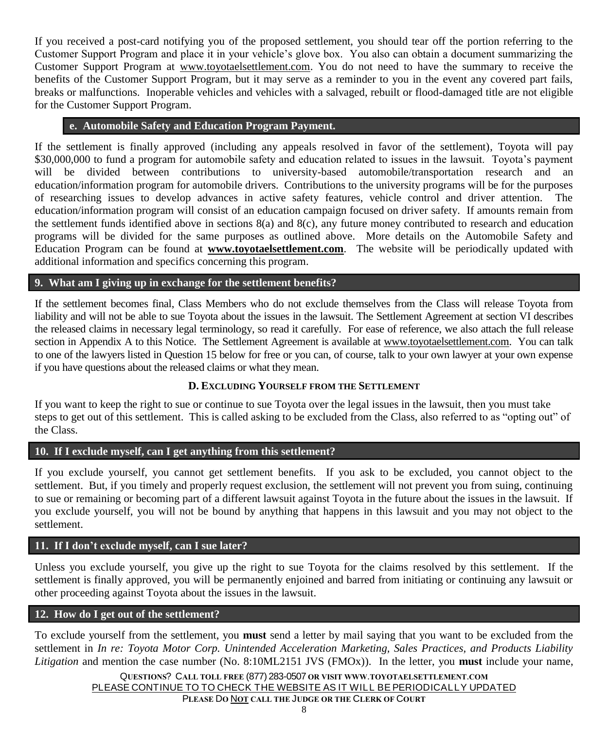If you received a post-card notifying you of the proposed settlement, you should tear off the portion referring to the Customer Support Program and place it in your vehicle's glove box. You also can obtain a document summarizing the Customer Support Program at www.toyotaelsettlement.com. You do not need to have the summary to receive the benefits of the Customer Support Program, but it may serve as a reminder to you in the event any covered part fails, breaks or malfunctions. Inoperable vehicles and vehicles with a salvaged, rebuilt or flood-damaged title are not eligible for the Customer Support Program.

#### **e. Automobile Safety and Education Program Payment.**

If the settlement is finally approved (including any appeals resolved in favor of the settlement), Toyota will pay \$30,000,000 to fund a program for automobile safety and education related to issues in the lawsuit. Toyota's payment will be divided between contributions to university-based automobile/transportation research and an education/information program for automobile drivers. Contributions to the university programs will be for the purposes of researching issues to develop advances in active safety features, vehicle control and driver attention. The education/information program will consist of an education campaign focused on driver safety. If amounts remain from the settlement funds identified above in sections 8(a) and 8(c), any future money contributed to research and education programs will be divided for the same purposes as outlined above. More details on the Automobile Safety and Education Program can be found at **[www.toyotaelsettlement.com](http://www.toyotaelsettlement.com/)**. The website will be periodically updated with additional information and specifics concerning this program.

### **9. What am I giving up in exchange for the settlement benefits?**

If the settlement becomes final, Class Members who do not exclude themselves from the Class will release Toyota from liability and will not be able to sue Toyota about the issues in the lawsuit. The Settlement Agreement at section VI describes the released claims in necessary legal terminology, so read it carefully. For ease of reference, we also attach the full release section in Appendix A to this Notice. The Settlement Agreement is available at www.toyotaelsettlement.com. You can talk to one of the lawyers listed in Question 15 below for free or you can, of course, talk to your own lawyer at your own expense if you have questions about the released claims or what they mean.

### **D. EXCLUDING YOURSELF FROM THE SETTLEMENT**

If you want to keep the right to sue or continue to sue Toyota over the legal issues in the lawsuit, then you must take steps to get out of this settlement. This is called asking to be excluded from the Class, also referred to as "opting out" of the Class.

### **10. If I exclude myself, can I get anything from this settlement?**

If you exclude yourself, you cannot get settlement benefits. If you ask to be excluded, you cannot object to the settlement. But, if you timely and properly request exclusion, the settlement will not prevent you from suing, continuing to sue or remaining or becoming part of a different lawsuit against Toyota in the future about the issues in the lawsuit. If you exclude yourself, you will not be bound by anything that happens in this lawsuit and you may not object to the settlement.

#### **11. If I don't exclude myself, can I sue later?**

Unless you exclude yourself, you give up the right to sue Toyota for the claims resolved by this settlement. If the settlement is finally approved, you will be permanently enjoined and barred from initiating or continuing any lawsuit or other proceeding against Toyota about the issues in the lawsuit.

#### **12. How do I get out of the settlement?**

To exclude yourself from the settlement, you **must** send a letter by mail saying that you want to be excluded from the settlement in *In re: Toyota Motor Corp. Unintended Acceleration Marketing, Sales Practices, and Products Liability Litigation* and mention the case number (No. 8:10ML2151 JVS (FMOx)). In the letter, you **must** include your name,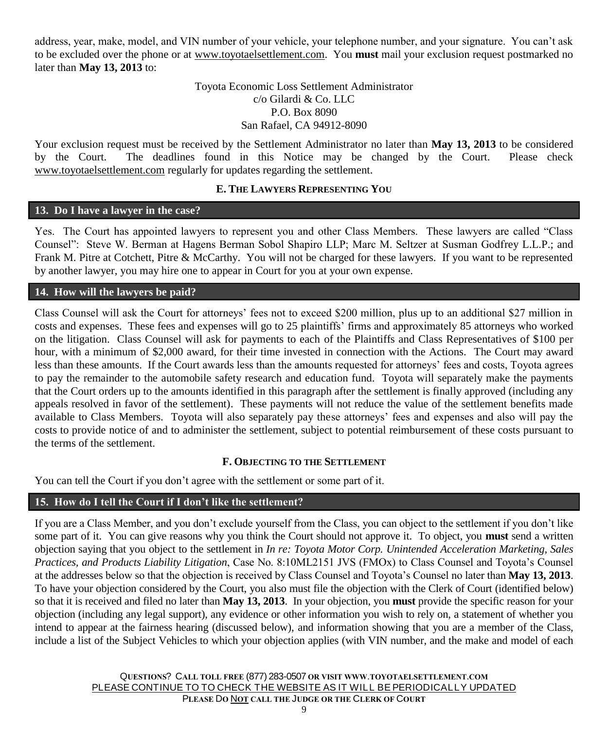address, year, make, model, and VIN number of your vehicle, your telephone number, and your signature. You can't ask to be excluded over the phone or at www.toyotaelsettlement.com. You **must** mail your exclusion request postmarked no later than **May 13, 2013** to:

## Toyota Economic Loss Settlement Administrator c/o Gilardi & Co. LLC P.O. Box 8090 San Rafael, CA 94912-8090

Your exclusion request must be received by the Settlement Administrator no later than **May 13, 2013** to be considered by the Court. The deadlines found in this Notice may be changed by the Court. Please check www.toyotaelsettlement.com regularly for updates regarding the settlement.

# **E. THE LAWYERS REPRESENTING YOU**

## **13. Do I have a lawyer in the case?**

Yes. The Court has appointed lawyers to represent you and other Class Members. These lawyers are called "Class Counsel": Steve W. Berman at Hagens Berman Sobol Shapiro LLP; Marc M. Seltzer at Susman Godfrey L.L.P.; and Frank M. Pitre at Cotchett, Pitre & McCarthy. You will not be charged for these lawyers. If you want to be represented by another lawyer, you may hire one to appear in Court for you at your own expense.

#### **14. How will the lawyers be paid?**

Class Counsel will ask the Court for attorneys' fees not to exceed \$200 million, plus up to an additional \$27 million in costs and expenses. These fees and expenses will go to 25 plaintiffs' firms and approximately 85 attorneys who worked on the litigation. Class Counsel will ask for payments to each of the Plaintiffs and Class Representatives of \$100 per hour, with a minimum of \$2,000 award, for their time invested in connection with the Actions. The Court may award less than these amounts. If the Court awards less than the amounts requested for attorneys' fees and costs, Toyota agrees to pay the remainder to the automobile safety research and education fund. Toyota will separately make the payments that the Court orders up to the amounts identified in this paragraph after the settlement is finally approved (including any appeals resolved in favor of the settlement). These payments will not reduce the value of the settlement benefits made available to Class Members. Toyota will also separately pay these attorneys' fees and expenses and also will pay the costs to provide notice of and to administer the settlement, subject to potential reimbursement of these costs pursuant to the terms of the settlement.

#### **F. OBJECTING TO THE SETTLEMENT**

You can tell the Court if you don't agree with the settlement or some part of it.

### **15. How do I tell the Court if I don't like the settlement?**

If you are a Class Member, and you don't exclude yourself from the Class, you can object to the settlement if you don't like some part of it. You can give reasons why you think the Court should not approve it. To object, you **must** send a written objection saying that you object to the settlement in *In re: Toyota Motor Corp. Unintended Acceleration Marketing, Sales Practices, and Products Liability Litigation*, Case No. 8:10ML2151 JVS (FMOx) to Class Counsel and Toyota's Counsel at the addresses below so that the objection is received by Class Counsel and Toyota's Counsel no later than **May 13, 2013**. To have your objection considered by the Court, you also must file the objection with the Clerk of Court (identified below) so that it is received and filed no later than **May 13, 2013**. In your objection, you **must** provide the specific reason for your objection (including any legal support), any evidence or other information you wish to rely on, a statement of whether you intend to appear at the fairness hearing (discussed below), and information showing that you are a member of the Class, include a list of the Subject Vehicles to which your objection applies (with VIN number, and the make and model of each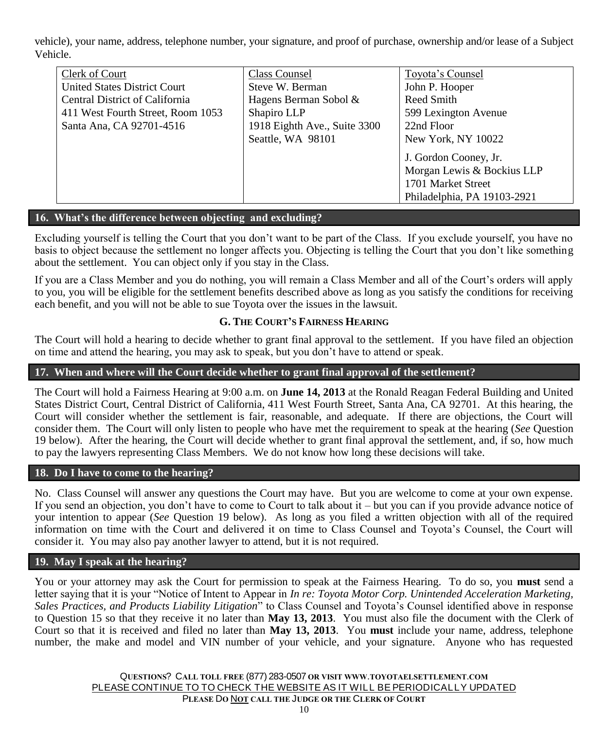vehicle), your name, address, telephone number, your signature, and proof of purchase, ownership and/or lease of a Subject Vehicle.

| Clerk of Court                        | <b>Class Counsel</b>         | Toyota's Counsel            |
|---------------------------------------|------------------------------|-----------------------------|
| <b>United States District Court</b>   | Steve W. Berman              | John P. Hooper              |
| <b>Central District of California</b> | Hagens Berman Sobol &        | Reed Smith                  |
| 411 West Fourth Street, Room 1053     | Shapiro LLP                  | 599 Lexington Avenue        |
| Santa Ana, CA 92701-4516              | 1918 Eighth Ave., Suite 3300 | 22nd Floor                  |
|                                       | Seattle, WA 98101            | New York, NY 10022          |
|                                       |                              | J. Gordon Cooney, Jr.       |
|                                       |                              | Morgan Lewis & Bockius LLP  |
|                                       |                              | 1701 Market Street          |
|                                       |                              | Philadelphia, PA 19103-2921 |

### **16. What's the difference between objecting and excluding?**

Excluding yourself is telling the Court that you don't want to be part of the Class. If you exclude yourself, you have no basis to object because the settlement no longer affects you. Objecting is telling the Court that you don't like something about the settlement. You can object only if you stay in the Class.

If you are a Class Member and you do nothing, you will remain a Class Member and all of the Court's orders will apply to you, you will be eligible for the settlement benefits described above as long as you satisfy the conditions for receiving each benefit, and you will not be able to sue Toyota over the issues in the lawsuit.

#### **G. THE COURT'S FAIRNESS HEARING**

The Court will hold a hearing to decide whether to grant final approval to the settlement. If you have filed an objection on time and attend the hearing, you may ask to speak, but you don't have to attend or speak.

#### **17. When and where will the Court decide whether to grant final approval of the settlement?**

The Court will hold a Fairness Hearing at 9:00 a.m. on **June 14, 2013** at the Ronald Reagan Federal Building and United States District Court, Central District of California, 411 West Fourth Street, Santa Ana, CA 92701. At this hearing, the Court will consider whether the settlement is fair, reasonable, and adequate. If there are objections, the Court will consider them. The Court will only listen to people who have met the requirement to speak at the hearing (*See* Question 19 below). After the hearing, the Court will decide whether to grant final approval the settlement, and, if so, how much to pay the lawyers representing Class Members. We do not know how long these decisions will take.

#### **18. Do I have to come to the hearing?**

No. Class Counsel will answer any questions the Court may have. But you are welcome to come at your own expense. If you send an objection, you don't have to come to Court to talk about it – but you can if you provide advance notice of your intention to appear (*See* Question 19 below). As long as you filed a written objection with all of the required information on time with the Court and delivered it on time to Class Counsel and Toyota's Counsel, the Court will consider it. You may also pay another lawyer to attend, but it is not required.

#### **19. May I speak at the hearing?**

You or your attorney may ask the Court for permission to speak at the Fairness Hearing. To do so, you **must** send a letter saying that it is your "Notice of Intent to Appear in *In re: Toyota Motor Corp. Unintended Acceleration Marketing, Sales Practices, and Products Liability Litigation*" to Class Counsel and Toyota's Counsel identified above in response to Question 15 so that they receive it no later than **May 13, 2013**. You must also file the document with the Clerk of Court so that it is received and filed no later than **May 13, 2013**. You **must** include your name, address, telephone number, the make and model and VIN number of your vehicle, and your signature. Anyone who has requested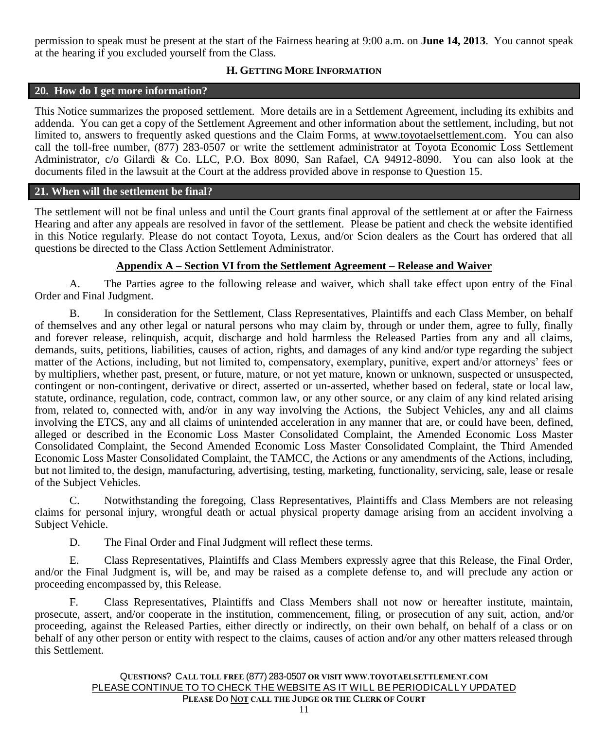permission to speak must be present at the start of the Fairness hearing at 9:00 a.m. on **June 14, 2013**. You cannot speak at the hearing if you excluded yourself from the Class.

## **H. GETTING MORE INFORMATION**

#### **20. How do I get more information?**

This Notice summarizes the proposed settlement. More details are in a Settlement Agreement, including its exhibits and addenda. You can get a copy of the Settlement Agreement and other information about the settlement, including, but not limited to, answers to frequently asked questions and the Claim Forms, at www.toyotaelsettlement.com. You can also call the toll-free number, (877) 283-0507 or write the settlement administrator at Toyota Economic Loss Settlement Administrator, c/o Gilardi & Co. LLC, P.O. Box 8090, San Rafael, CA 94912-8090. You can also look at the documents filed in the lawsuit at the Court at the address provided above in response to Question 15.

#### **21. When will the settlement be final?**

The settlement will not be final unless and until the Court grants final approval of the settlement at or after the Fairness Hearing and after any appeals are resolved in favor of the settlement. Please be patient and check the website identified in this Notice regularly. Please do not contact Toyota, Lexus, and/or Scion dealers as the Court has ordered that all questions be directed to the Class Action Settlement Administrator.

#### **Appendix A – Section VI from the Settlement Agreement – Release and Waiver**

A. The Parties agree to the following release and waiver, which shall take effect upon entry of the Final Order and Final Judgment.

B. In consideration for the Settlement, Class Representatives, Plaintiffs and each Class Member, on behalf of themselves and any other legal or natural persons who may claim by, through or under them, agree to fully, finally and forever release, relinquish, acquit, discharge and hold harmless the Released Parties from any and all claims, demands, suits, petitions, liabilities, causes of action, rights, and damages of any kind and/or type regarding the subject matter of the Actions, including, but not limited to, compensatory, exemplary, punitive, expert and/or attorneys' fees or by multipliers, whether past, present, or future, mature, or not yet mature, known or unknown, suspected or unsuspected, contingent or non-contingent, derivative or direct, asserted or un-asserted, whether based on federal, state or local law, statute, ordinance, regulation, code, contract, common law, or any other source, or any claim of any kind related arising from, related to, connected with, and/or in any way involving the Actions, the Subject Vehicles, any and all claims involving the ETCS, any and all claims of unintended acceleration in any manner that are, or could have been, defined, alleged or described in the Economic Loss Master Consolidated Complaint, the Amended Economic Loss Master Consolidated Complaint, the Second Amended Economic Loss Master Consolidated Complaint, the Third Amended Economic Loss Master Consolidated Complaint, the TAMCC, the Actions or any amendments of the Actions, including, but not limited to, the design, manufacturing, advertising, testing, marketing, functionality, servicing, sale, lease or resale of the Subject Vehicles.

C. Notwithstanding the foregoing, Class Representatives, Plaintiffs and Class Members are not releasing claims for personal injury, wrongful death or actual physical property damage arising from an accident involving a Subject Vehicle.

D. The Final Order and Final Judgment will reflect these terms.

E. Class Representatives, Plaintiffs and Class Members expressly agree that this Release, the Final Order, and/or the Final Judgment is, will be, and may be raised as a complete defense to, and will preclude any action or proceeding encompassed by, this Release.

F. Class Representatives, Plaintiffs and Class Members shall not now or hereafter institute, maintain, prosecute, assert, and/or cooperate in the institution, commencement, filing, or prosecution of any suit, action, and/or proceeding, against the Released Parties, either directly or indirectly, on their own behalf, on behalf of a class or on behalf of any other person or entity with respect to the claims, causes of action and/or any other matters released through this Settlement.